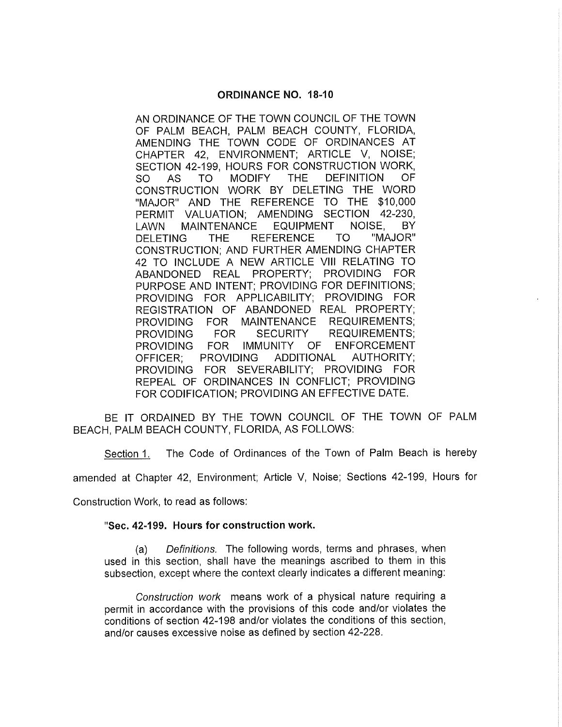## ORDINANCE NO. 18 -10

AN ORDINANCE OF THE TOWN COUNCIL OF THE TOWN OF PALM BEACH, PALM BEACH COUNTY, FLORIDA, AMENDING THE TOWN CODE OF ORDINANCES AT CHAPTER 42, ENVIRONMENT; ARTICLE V, NOISE; SECTION 42-199, HOURS FOR CONSTRUCTION WORK,<br>SO AS TO MODIFY THE DEFINITION OF **DEFINITION** CONSTRUCTION WORK BY DELETING THE WORD "MAJOR" AND THE REFERENCE TO THE \$10,000 PERMIT VALUATION; AMENDING SECTION 42-230,<br>LAWN MAINTENANCE EQUIPMENT NOISE, BY LAWN MAINTENANCE EQUIPMENT NOISE, BY DELETING THE REFERENCE CONSTRUCTION; AND FURTHER AMENDING CHAPTER 42 TO INCLUDE A NEW ARTICLE VIII RELATING TO ABANDONED REAL PROPERTY; PROVIDING FOR PURPOSE AND INTENT; PROVIDING FOR DEFINITIONS; PROVIDING FOR APPLICABILITY; PROVIDING FOR REGISTRATION OF ABANDONED REAL PROPERTY; PROVIDING FOR MAINTENANCE REQUIREMENTS;<br>PROVIDING FOR SECURITY REQUIREMENTS; PROVIDING FOR SECURITY REQUIREMENTS; PROVIDING FOR IMMUNITY OF ENFORCEMENT OFFICER; PROVIDING ADDITIONAL AUTHORITY; PROVIDING FOR SEVERABILITY; PROVIDING FOR REPEAL OF ORDINANCES IN CONFLICT; PROVIDING FOR CODIFICATION; PROVIDING AN EFFECTIVE DATE.

BE IT ORDAINED BY THE TOWN COUNCIL OF THE TOWN OF PALM BEACH, PALM BEACH COUNTY, FLORIDA, AS FOLLOWS:

Section 1. The Code of Ordinances of the Town of Palm Beach is hereby

amended at Chapter 42, Environment; Article V, Noise; Sections 42-199, Hours for

Construction Work, to read as follows:

## "Sec. 42-199. Hours for construction work.

a) Definitions. The following words, terms and phrases, when used in this section, shall have the meanings ascribed to them in this subsection, except where the context clearly indicates a different meaning:

Construction work means work of a physical nature requiring a permit in accordance with the provisions of this code and/or violates the conditions of section 42 -198 and /or violates the conditions of this section, and/or causes excessive noise as defined by section 42-228.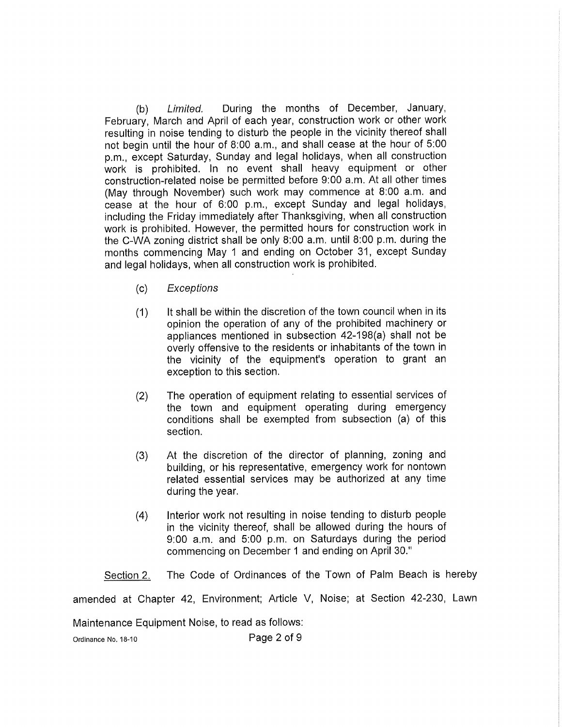b) Limited. During the months of December, January, February, March and April of each year, construction work or other work resulting in noise tending to disturb the people in the vicinity thereof shall not begin until the hour of 8:00 a.m., and shall cease at the hour of 5:00 p.m., except Saturday, Sunday and legal holidays, when all construction work is prohibited. In no event shall heavy equipment or other construction-related noise be permitted before 9:00 a.m. At all other times May through November) such work may commence at 8:00 a.m. and cease at the hour of 6:00 p.m., except Sunday and legal holidays, including the Friday immediately after Thanksgiving, when all construction work is prohibited. However, the permitted hours for construction work in the C -WA zoning district shall be only 8:00 a.m. until 8:00 p.m. during the months commencing May <sup>1</sup> and ending on October 31, except Sunday and legal holidays, when all construction work is prohibited.

- c) Exceptions
- 1) It shall be within the discretion of the town council when in its opinion the operation of any of the prohibited machinery or appliances mentioned in subsection 42- 198(a) shall not be overly offensive to the residents or inhabitants of the town in the vicinity of the equipment's operation to grant an exception to this section.
- 2) The operation of equipment relating to essential services of the town and equipment operating during emergency conditions shall be exempted from subsection (a) of this section.
- 3) At the discretion of the director of planning, zoning and building, or his representative, emergency work for nontown related essential services may be authorized at any time during the year.
- 4) Interior work not resulting in noise tending to disturb people in the vicinity thereof, shall be allowed during the hours of 9:00 a.m. and 5:00 p.m. on Saturdays during the period commencing on December <sup>1</sup> and ending on April 30."

Section 2. The Code of Ordinances of the Town of Palm Beach is hereby

amended at Chapter 42, Environment; Article V, Noise; at Section 42-230, Lawn

Maintenance Equipment Noise, to read as follows:

Ordinance No. 18-10 Page 2 of 9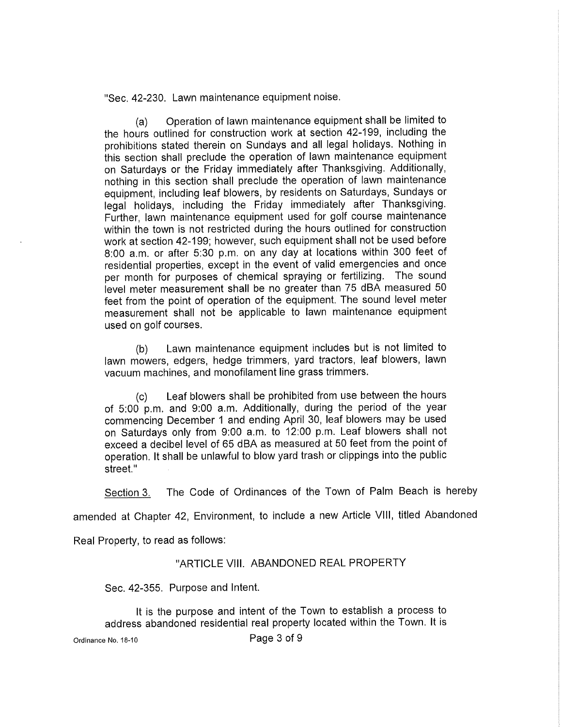Sec. 42 -230. Lawn maintenance equipment noise.

a) Operation of lawn maintenance equipment shall be limited to the hours outlined for construction work at section 42 -199, including the prohibitions stated therein on Sundays and all legal holidays. Nothing in this section shall preclude the operation of lawn maintenance equipment on Saturdays or the Friday immediately after Thanksgiving. Additionally, nothing in this section shall preclude the operation of lawn maintenance equipment, including leaf blowers, by residents on Saturdays, Sundays or legal holidays, including the Friday immediately after Thanksgiving. Further, lawn maintenance equipment used for golf course maintenance within the town is not restricted during the hours outlined for construction work at section 42 -199; however, such equipment shall not be used before 8:00 a.m. or after 5:30 p.m. on any day at locations within <sup>300</sup> feet of residential properties, except in the event of valid emergencies and once per month for purposes of chemical spraying or fertilizing. The sound level meter measurement shall be no greater than 75 dBA measured 50 feet from the point of operation of the equipment. The sound level meter measurement shall not be applicable to lawn maintenance equipment used on golf courses.

b) Lawn maintenance equipment includes but is not limited to lawn mowers, edgers, hedge trimmers, yard tractors, leaf blowers, lawn vacuum machines, and monofilament line grass trimmers.

c) Leaf blowers shall be prohibited from use between the hours of 5:00 p.m. and 9:00 a.m. Additionally, during the period of the year commencing December <sup>1</sup> and ending April 30, leaf blowers may be used on Saturdays only from 9:00 a.m. to 12:00 p.m. Leaf blowers shall not exceed a decibel level of 65 dBA as measured at 50 feet from the point of operation. It shall be unlawful to blow yard trash or clippings into the public street."

Section 3. The Code of Ordinances of the Town of Palm Beach is hereby

amended at Chapter 42, Environment, to include <sup>a</sup> new Article VIII, titled Abandoned

Real Property, to read as follows:

## "ARTICLE VIII. ABANDONED REAL PROPERTY

Sec. 42-355. Purpose and Intent.

It is the purpose and intent of the Town to establish a process to address abandoned residential real property located within the Town. It is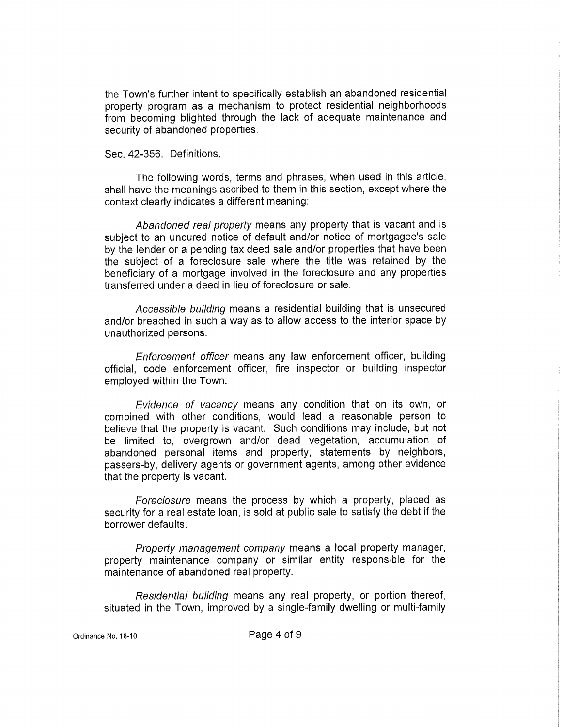the Town's further intent to specifically establish an abandoned residential property program as a mechanism to protect residential neighborhoods from becoming blighted through the lack of adequate maintenance and security of abandoned properties.

## Sec. 42-356. Definitions.

The following words, terms and phrases, when used in this article, shall have the meanings ascribed to them in this section, except where the context clearly indicates a different meaning:

Abandoned real property means any property that is vacant and is subject to an uncured notice of default and/or notice of mortgagee's sale context clearly indicates a different meaning:<br>Abandoned real property means any property that is vacant and is<br>subject to an uncured notice of default and/or notice of mortgagee's sale<br>by the lender or a pending tax deed the subject of a foreclosure sale where the title was retained by the beneficiary of a mortgage involved in the foreclosure and any properties transferred under <sup>a</sup> deed in lieu of foreclosure or sale.

Accessible building means a residential building that is unsecured and/or breached in such a way as to allow access to the interior space by unauthorized persons.

Enforcement officer means any law enforcement officer, building official, code enforcement officer, fire inspector or building inspector employed within the Town.

Evidence of vacancy means any condition that on its own, or combined with other conditions, would lead a reasonable person to believe that the property is vacant. Such conditions may include, but not be limited to, overgrown and/or dead vegetation, accumulation of abandoned personal items and property, statements by neighbors, passers -by, delivery agents or government agents, among other evidence that the property is vacant.

Foreclosure means the process by which a property, placed as security for a real estate loan, is sold at public sale to satisfy the debt if the borrower defaults.

Property management company means a local property manager, property maintenance company or similar entity responsible for the maintenance of abandoned real property.

Residential building means any real property, or portion thereof, situated in the Town, improved by a single-family dwelling or multi-family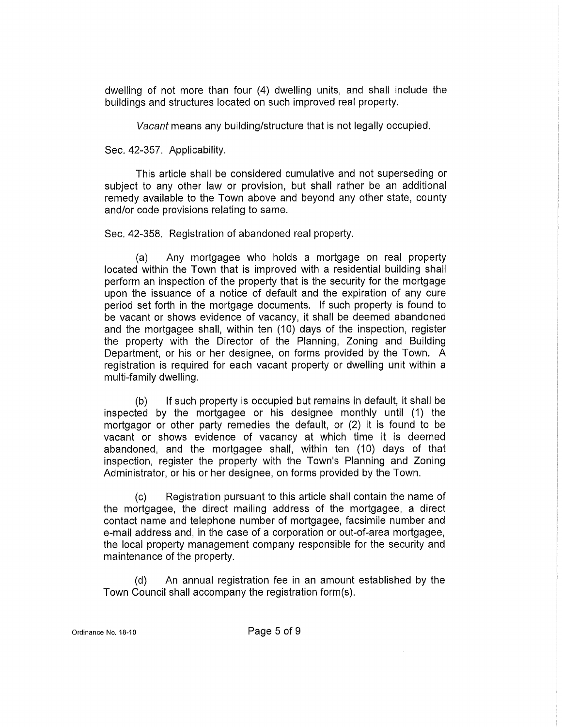dwelling of not more than four (4) dwelling units, and shall include the buildings and structures located on such improved real property.

Vacant means any building/structure that is not legally occupied.

Sec. 42-357. Applicability.

This article shall be considered cumulative and not superseding or subject to any other law or provision, but shall rather be an additional remedy available to the Town above and beyond any other state, county and/or code provisions relating to same.

Sec. 42-358. Registration of abandoned real property.

a) Any mortgagee who holds <sup>a</sup> mortgage on real property located within the Town that is improved with a residential building shall perform an inspection of the property that is the security for the mortgage upon the issuance of a notice of default and the expiration of any cure period set forth in the mortgage documents. If such property is found to be vacant or shows evidence of vacancy, it shall be deemed abandoned and the mortgagee shall, within ten (10) days of the inspection, register the property with the Director of the Planning, Zoning and Building Department, or his or her designee, on forms provided by the Town. A registration is required for each vacant property or dwelling unit within a multi-family dwelling.

b) If such property is occupied but remains in default, it shall be inspected by the mortgagee or his designee monthly until (1) the mortgagor or other party remedies the default, or (2) it is found to be vacant or shows evidence of vacancy at which time it is deemed abandoned, and the mortgagee shall, within ten (10) days of that<br>inspection, register the property with the Town's Planning and Zoning<br>Administrator or his ar ber designes on forms provided by the Town Administrator, or his or her designee, on forms provided by the Town.

c) Registration pursuant to this article shall contain the name of the mortgagee, the direct mailing address of the mortgagee, a direct contact name and telephone number of mortgagee, facsimile number and e-mail address and, in the case of a corporation or out-of-area mortgagee, the local property management company responsible for the security and maintenance of the property.

d) An annual registration fee in an amount established by the Town Council shall accompany the registration form(s).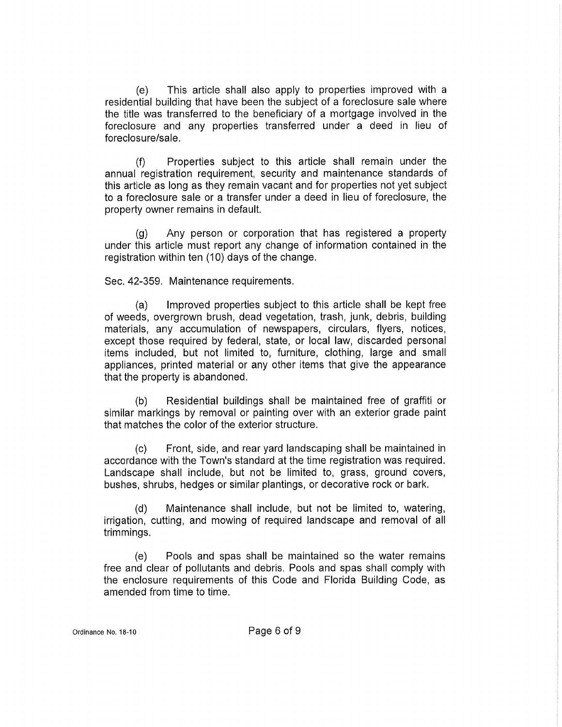e) This article shall also apply to properties improved with <sup>a</sup> residential building that have been the subject of a foreclosure sale where the title was transferred to the beneficiary of a mortgage involved in the foreclosure and any properties transferred under a deed in lieu of foreclosure/sale.

f) Properties subject to this article shall remain under the annual registration requirement, security and maintenance standards of this article as long as they remain vacant and for properties not yet subject to a foreclosure sale or a transfer under a deed in lieu of foreclosure, the property owner remains in default.

g) Any person or corporation that has registered <sup>a</sup> property under this article must report any change of information contained in the registration within ten (10) days of the change.

Sec. 42-359. Maintenance requirements.

a) Improved properties subject to this article shall be kept free of weeds, overgrown brush, dead vegetation, trash, junk, debris, building materials, any accumulation of newspapers, circulars, flyers, notices, except those required by federal, state, or local law, discarded personal items included, but not limited to, furniture, clothing, large and small appliances, printed material or any other items that give the appearance that the property is abandoned.

b) Residential buildings shall be maintained free of graffiti or similar markings by removal or painting over with an exterior grade paint that matches the color of the exterior structure.

c) Front, side, and rear yard landscaping shall be maintained in accordance with the Town's standard at the time registration was required. Landscape shall include, but not be limited to, grass, ground covers, bushes, shrubs, hedges or similar plantings, or decorative rock or bark.

d) Maintenance shall include, but not be limited to, watering, irrigation, cutting, and mowing of required landscape and removal of all trimmings.

e) Pools and spas shall be maintained so the water remains free and clear of pollutants and debris. Pools and spas shall comply with the enclosure requirements of this Code and Florida Building Code, as amended from time to time.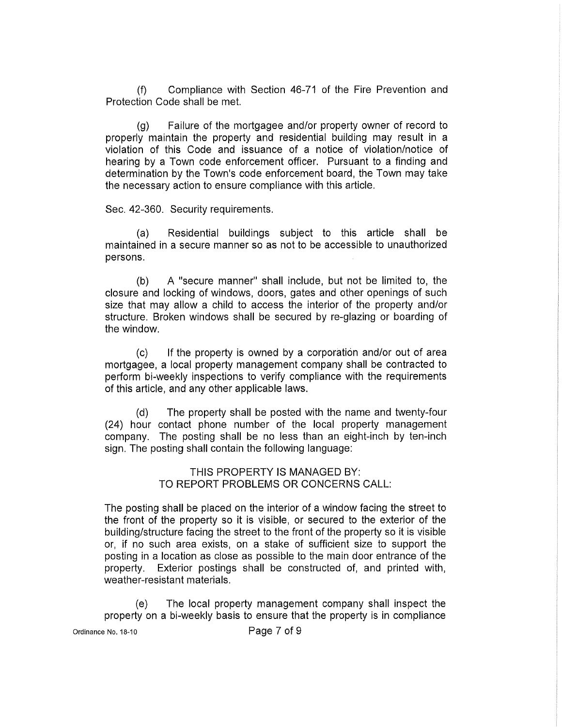f) Compliance with Section 46 -71 of the Fire Prevention and Protection Code shall be met.

g) Failure of the mortgagee and /or property owner of record to properly maintain the property and residential building may result in a violation of this Code and issuance of a notice of violation/notice of hearing by a Town code enforcement officer. Pursuant to a finding and<br>determination by the Town's code enforcement board, the Town may take the necessary action to ensure compliance with this article.

Sec. 42-360. Security requirements.

a) Residential buildings subject to this article shall be maintained in a secure manner so as not to be accessible to unauthorized persons.

b) A "secure manner" shall include, but not be limited to, the closure and locking of windows, doors, gates and other openings of such size that may allow a child to access the interior of the property and/or structure. Broken windows shall be secured by re-glazing or boarding of the window.

c) If the property is owned by <sup>a</sup> corporation and /or out of area mortgagee, a local property management company shall be contracted to perform bi-weekly inspections to verify compliance with the requirements of this article, and any other applicable laws.

d) The property shall be posted with the name and twenty -four 24) hour contact phone number of the local property management company. The posting shall be no less than an eight-inch by ten-inch sign. The posting shall contain the following language:

> THIS PROPERTY IS MANAGED BY: TO REPORT PROBLEMS OR CONCERNS CALL:

The posting shall be placed on the interior of a window facing the street to the front of the property so it is visible, or secured to the exterior of the building /structure facing the street to the front of the property so it is visible or, if no such area exists, on a stake of sufficient size to support the posting in a location as close as possible to the main door entrance of the property. Exterior postings shall be constructed of, and printed with, weather-resistant materials.

e) The local property management company shall inspect the property on a bi-weekly basis to ensure that the property is in compliance

Ordinance No. 18-10 **Page 7 of 9**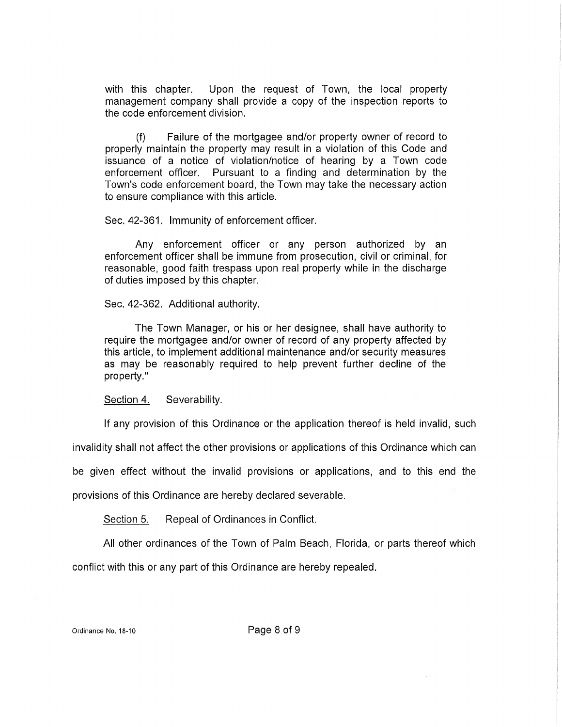with this chapter. Upon the request of Town, the local property management company shall provide a copy of the inspection reports to the code enforcement division.

f) Failure of the mortgagee and /or property owner of record to properly maintain the property may result in a violation of this Code and issuance of a notice of violation/notice of hearing by a Town code enforcement officer. Pursuant to <sup>a</sup> finding and determination by the Town's code enforcement board, the Town may take the necessary action to ensure compliance with this article.

Sec. 42-361. Immunity of enforcement officer.

Any enforcement officer or any person authorized by an enforcement officer shall be immune from prosecution, civil or criminal, for reasonable, good faith trespass upon real property while in the discharge of duties imposed by this chapter.

Sec. 42 -362. Additional authority.

The Town Manager, or his or her designee, shall have authority to require the mortgagee and/or owner of record of any property affected by this article, to implement additional maintenance and /or security measures as may be reasonably required to help prevent further decline of the property."

Section 4. Severability.

If any provision of this Ordinance or the application thereof is held invalid, such

invalidity shall not affect the other provisions or applications of this Ordinance which can

be given effect without the invalid provisions or applications, and to this end the

provisions of this Ordinance are hereby declared severable.

Section 5. Repeal of Ordinances in Conflict.

All other ordinances of the Town of Palm Beach, Florida, or parts thereof which

conflict with this or any part of this Ordinance are hereby repealed.